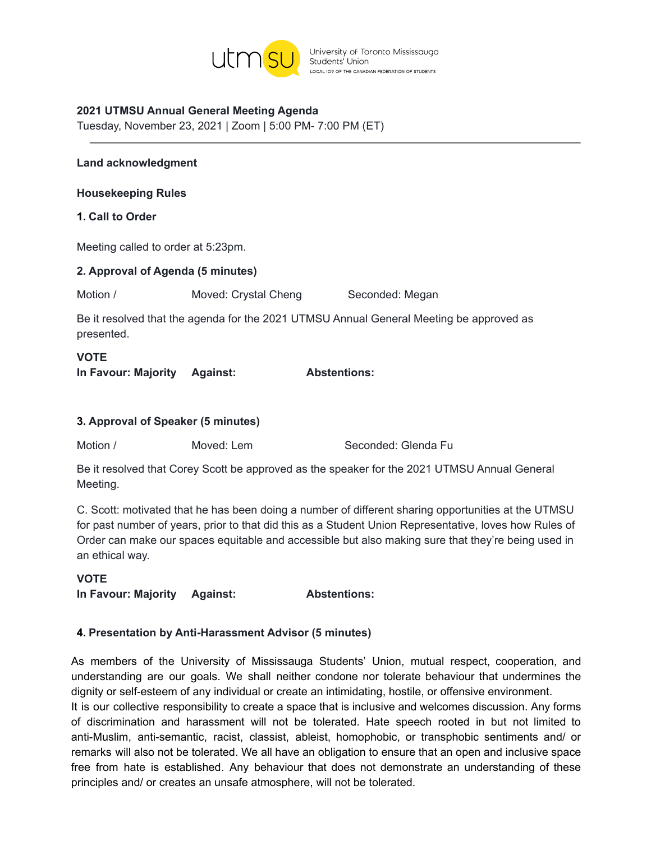

University of Toronto Mississauga Students' Union LOCAL IO9 OF THE CANADIAN FEDERATION OF STUDENTS

#### **2021 UTMSU Annual General Meeting Agenda**

Tuesday, November 23, 2021 | Zoom | 5:00 PM- 7:00 PM (ET)

#### **Land acknowledgment**

**Housekeeping Rules**

#### **1. Call to Order**

Meeting called to order at 5:23pm.

| 2. Approval of Agenda (5 minutes) |                      |                                                                                         |  |  |
|-----------------------------------|----------------------|-----------------------------------------------------------------------------------------|--|--|
| Motion /                          | Moved: Crystal Cheng | Seconded: Megan                                                                         |  |  |
| presented.                        |                      | Be it resolved that the agenda for the 2021 UTMSU Annual General Meeting be approved as |  |  |

# **VOTE In Favour: Majority Against: Abstentions:**

#### **3. Approval of Speaker (5 minutes)**

Motion / Moved: Lem Seconded: Glenda Fu

Be it resolved that Corey Scott be approved as the speaker for the 2021 UTMSU Annual General Meeting.

C. Scott: motivated that he has been doing a number of different sharing opportunities at the UTMSU for past number of years, prior to that did this as a Student Union Representative, loves how Rules of Order can make our spaces equitable and accessible but also making sure that they're being used in an ethical way.

#### **VOTE**

**In Favour: Majority Against: Abstentions:**

#### **4. Presentation by Anti-Harassment Advisor (5 minutes)**

As members of the University of Mississauga Students' Union, mutual respect, cooperation, and understanding are our goals. We shall neither condone nor tolerate behaviour that undermines the dignity or self-esteem of any individual or create an intimidating, hostile, or offensive environment.

It is our collective responsibility to create a space that is inclusive and welcomes discussion. Any forms of discrimination and harassment will not be tolerated. Hate speech rooted in but not limited to anti-Muslim, anti-semantic, racist, classist, ableist, homophobic, or transphobic sentiments and/ or remarks will also not be tolerated. We all have an obligation to ensure that an open and inclusive space free from hate is established. Any behaviour that does not demonstrate an understanding of these principles and/ or creates an unsafe atmosphere, will not be tolerated.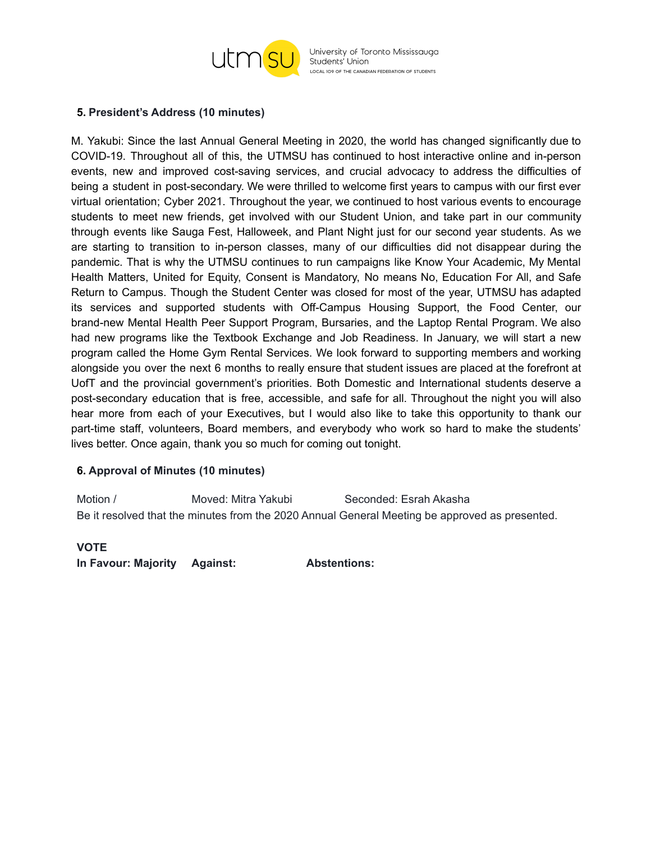

University of Toronto Mississauga Students' Union LOCAL IO9 OF THE CANADIAN FEDERATION OF STUDENTS

#### **5. President's Address (10 minutes)**

M. Yakubi: Since the last Annual General Meeting in 2020, the world has changed significantly due to COVID-19. Throughout all of this, the UTMSU has continued to host interactive online and in-person events, new and improved cost-saving services, and crucial advocacy to address the difficulties of being a student in post-secondary. We were thrilled to welcome first years to campus with our first ever virtual orientation; Cyber 2021. Throughout the year, we continued to host various events to encourage students to meet new friends, get involved with our Student Union, and take part in our community through events like Sauga Fest, Halloweek, and Plant Night just for our second year students. As we are starting to transition to in-person classes, many of our difficulties did not disappear during the pandemic. That is why the UTMSU continues to run campaigns like Know Your Academic, My Mental Health Matters, United for Equity, Consent is Mandatory, No means No, Education For All, and Safe Return to Campus. Though the Student Center was closed for most of the year, UTMSU has adapted its services and supported students with Off-Campus Housing Support, the Food Center, our brand-new Mental Health Peer Support Program, Bursaries, and the Laptop Rental Program. We also had new programs like the Textbook Exchange and Job Readiness. In January, we will start a new program called the Home Gym Rental Services. We look forward to supporting members and working alongside you over the next 6 months to really ensure that student issues are placed at the forefront at UofT and the provincial government's priorities. Both Domestic and International students deserve a post-secondary education that is free, accessible, and safe for all. Throughout the night you will also hear more from each of your Executives, but I would also like to take this opportunity to thank our part-time staff, volunteers, Board members, and everybody who work so hard to make the students' lives better. Once again, thank you so much for coming out tonight.

### **6. Approval of Minutes (10 minutes)**

Motion / Moved: Mitra Yakubi Seconded: Esrah Akasha Be it resolved that the minutes from the 2020 Annual General Meeting be approved as presented.

#### **VOTE**

**In Favour: Majority Against: Abstentions:**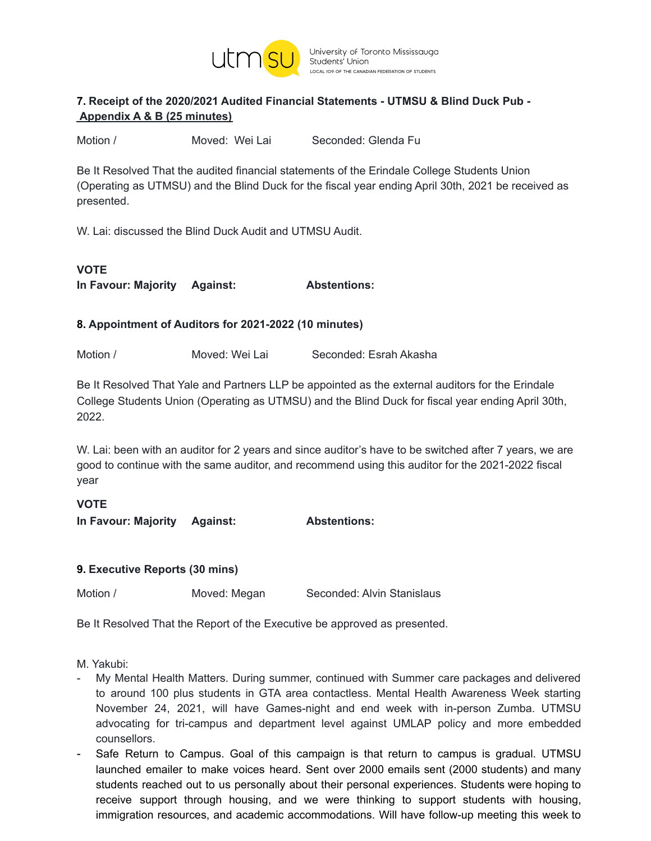

## **7. Receipt of the 2020/2021 Audited Financial Statements - UTMSU & Blind Duck Pub - Appendix A & B (25 minutes)**

Motion / Moved: Wei Lai Seconded: Glenda Fu

Be It Resolved That the audited financial statements of the Erindale College Students Union (Operating as UTMSU) and the Blind Duck for the fiscal year ending April 30th, 2021 be received as presented.

W. Lai: discussed the Blind Duck Audit and UTMSU Audit.

## **VOTE In Favour: Majority Against: Abstentions:**

### **8. Appointment of Auditors for 2021-2022 (10 minutes)**

Motion / Moved: Wei Lai Seconded: Esrah Akasha

Be It Resolved That Yale and Partners LLP be appointed as the external auditors for the Erindale College Students Union (Operating as UTMSU) and the Blind Duck for fiscal year ending April 30th, 2022.

W. Lai: been with an auditor for 2 years and since auditor's have to be switched after 7 years, we are good to continue with the same auditor, and recommend using this auditor for the 2021-2022 fiscal year

### **VOTE**

**In Favour: Majority Against: Abstentions:**

### **9. Executive Reports (30 mins)**

Motion / Moved: Megan Seconded: Alvin Stanislaus

Be It Resolved That the Report of the Executive be approved as presented.

M. Yakubi:

- My Mental Health Matters. During summer, continued with Summer care packages and delivered to around 100 plus students in GTA area contactless. Mental Health Awareness Week starting November 24, 2021, will have Games-night and end week with in-person Zumba. UTMSU advocating for tri-campus and department level against UMLAP policy and more embedded counsellors.
- Safe Return to Campus. Goal of this campaign is that return to campus is gradual. UTMSU launched emailer to make voices heard. Sent over 2000 emails sent (2000 students) and many students reached out to us personally about their personal experiences. Students were hoping to receive support through housing, and we were thinking to support students with housing, immigration resources, and academic accommodations. Will have follow-up meeting this week to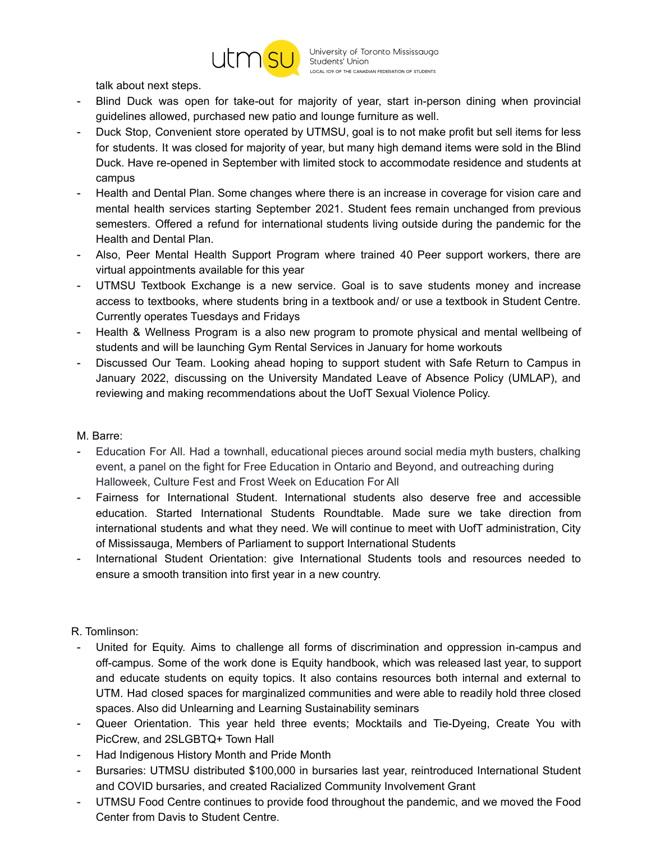

talk about next steps.

- Blind Duck was open for take-out for majority of year, start in-person dining when provincial guidelines allowed, purchased new patio and lounge furniture as well.
- Duck Stop, Convenient store operated by UTMSU, goal is to not make profit but sell items for less for students. It was closed for majority of year, but many high demand items were sold in the Blind Duck. Have re-opened in September with limited stock to accommodate residence and students at campus
- Health and Dental Plan. Some changes where there is an increase in coverage for vision care and mental health services starting September 2021. Student fees remain unchanged from previous semesters. Offered a refund for international students living outside during the pandemic for the Health and Dental Plan.
- Also, Peer Mental Health Support Program where trained 40 Peer support workers, there are virtual appointments available for this year
- UTMSU Textbook Exchange is a new service. Goal is to save students money and increase access to textbooks, where students bring in a textbook and/ or use a textbook in Student Centre. Currently operates Tuesdays and Fridays
- Health & Wellness Program is a also new program to promote physical and mental wellbeing of students and will be launching Gym Rental Services in January for home workouts
- Discussed Our Team. Looking ahead hoping to support student with Safe Return to Campus in January 2022, discussing on the University Mandated Leave of Absence Policy (UMLAP), and reviewing and making recommendations about the UofT Sexual Violence Policy.

### M. Barre:

- Education For All. Had a townhall, educational pieces around social media myth busters, chalking event, a panel on the fight for Free Education in Ontario and Beyond, and outreaching during Halloweek, Culture Fest and Frost Week on Education For All
- Fairness for International Student. International students also deserve free and accessible education. Started International Students Roundtable. Made sure we take direction from international students and what they need. We will continue to meet with UofT administration, City of Mississauga, Members of Parliament to support International Students
- International Student Orientation: give International Students tools and resources needed to ensure a smooth transition into first year in a new country.

### R. Tomlinson:

- United for Equity. Aims to challenge all forms of discrimination and oppression in-campus and off-campus. Some of the work done is Equity handbook, which was released last year, to support and educate students on equity topics. It also contains resources both internal and external to UTM. Had closed spaces for marginalized communities and were able to readily hold three closed spaces. Also did Unlearning and Learning Sustainability seminars
- Queer Orientation. This year held three events; Mocktails and Tie-Dyeing, Create You with PicCrew, and 2SLGBTQ+ Town Hall
- Had Indigenous History Month and Pride Month
- Bursaries: UTMSU distributed \$100,000 in bursaries last year, reintroduced International Student and COVID bursaries, and created Racialized Community Involvement Grant
- UTMSU Food Centre continues to provide food throughout the pandemic, and we moved the Food Center from Davis to Student Centre.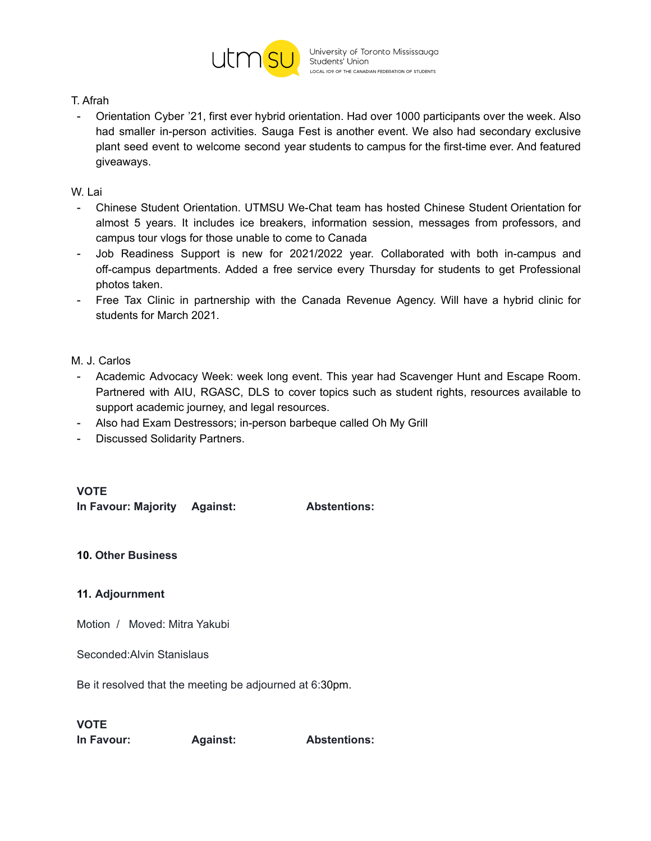

#### T. Afrah

- Orientation Cyber '21, first ever hybrid orientation. Had over 1000 participants over the week. Also had smaller in-person activities. Sauga Fest is another event. We also had secondary exclusive plant seed event to welcome second year students to campus for the first-time ever. And featured giveaways.

#### W. Lai

- Chinese Student Orientation. UTMSU We-Chat team has hosted Chinese Student Orientation for almost 5 years. It includes ice breakers, information session, messages from professors, and campus tour vlogs for those unable to come to Canada
- Job Readiness Support is new for 2021/2022 year. Collaborated with both in-campus and off-campus departments. Added a free service every Thursday for students to get Professional photos taken.
- Free Tax Clinic in partnership with the Canada Revenue Agency. Will have a hybrid clinic for students for March 2021.

#### M. J. Carlos

- Academic Advocacy Week: week long event. This year had Scavenger Hunt and Escape Room. Partnered with AIU, RGASC, DLS to cover topics such as student rights, resources available to support academic journey, and legal resources.
- Also had Exam Destressors; in-person barbeque called Oh My Grill
- Discussed Solidarity Partners.

### **VOTE**

**In Favour: Majority Against: Abstentions:**

### **10. Other Business**

### **11. Adjournment**

Motion / Moved: Mitra Yakubi

Seconded:Alvin Stanislaus

Be it resolved that the meeting be adjourned at 6:30pm.

### **VOTE**

**In Favour: Against: Abstentions:**